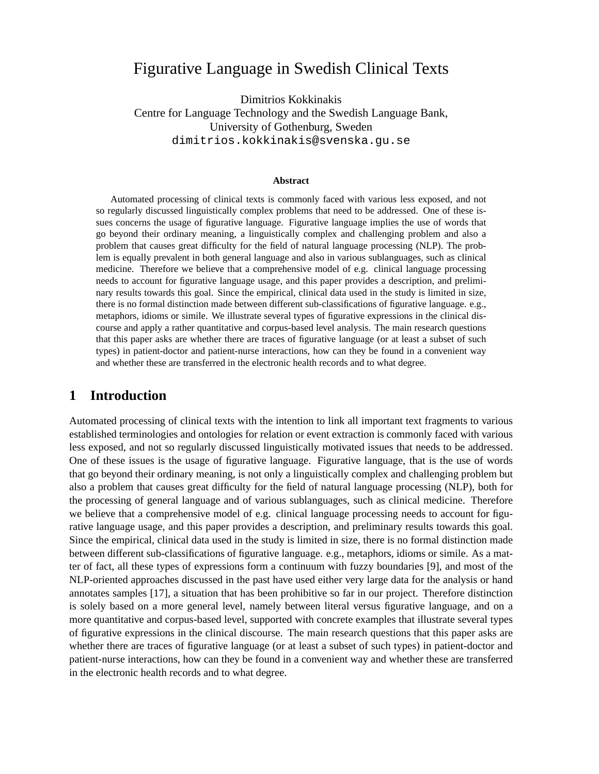# Figurative Language in Swedish Clinical Texts

Dimitrios Kokkinakis Centre for Language Technology and the Swedish Language Bank, University of Gothenburg, Sweden dimitrios.kokkinakis@svenska.gu.se

#### **Abstract**

Automated processing of clinical texts is commonly faced with various less exposed, and not so regularly discussed linguistically complex problems that need to be addressed. One of these issues concerns the usage of figurative language. Figurative language implies the use of words that go beyond their ordinary meaning, a linguistically complex and challenging problem and also a problem that causes great difficulty for the field of natural language processing (NLP). The problem is equally prevalent in both general language and also in various sublanguages, such as clinical medicine. Therefore we believe that a comprehensive model of e.g. clinical language processing needs to account for figurative language usage, and this paper provides a description, and preliminary results towards this goal. Since the empirical, clinical data used in the study is limited in size, there is no formal distinction made between different sub-classifications of figurative language. e.g., metaphors, idioms or simile. We illustrate several types of figurative expressions in the clinical discourse and apply a rather quantitative and corpus-based level analysis. The main research questions that this paper asks are whether there are traces of figurative language (or at least a subset of such types) in patient-doctor and patient-nurse interactions, how can they be found in a convenient way and whether these are transferred in the electronic health records and to what degree.

#### **1 Introduction**

Automated processing of clinical texts with the intention to link all important text fragments to various established terminologies and ontologies for relation or event extraction is commonly faced with various less exposed, and not so regularly discussed linguistically motivated issues that needs to be addressed. One of these issues is the usage of figurative language. Figurative language, that is the use of words that go beyond their ordinary meaning, is not only a linguistically complex and challenging problem but also a problem that causes great difficulty for the field of natural language processing (NLP), both for the processing of general language and of various sublanguages, such as clinical medicine. Therefore we believe that a comprehensive model of e.g. clinical language processing needs to account for figurative language usage, and this paper provides a description, and preliminary results towards this goal. Since the empirical, clinical data used in the study is limited in size, there is no formal distinction made between different sub-classifications of figurative language. e.g., metaphors, idioms or simile. As a matter of fact, all these types of expressions form a continuum with fuzzy boundaries [9], and most of the NLP-oriented approaches discussed in the past have used either very large data for the analysis or hand annotates samples [17], a situation that has been prohibitive so far in our project. Therefore distinction is solely based on a more general level, namely between literal versus figurative language, and on a more quantitative and corpus-based level, supported with concrete examples that illustrate several types of figurative expressions in the clinical discourse. The main research questions that this paper asks are whether there are traces of figurative language (or at least a subset of such types) in patient-doctor and patient-nurse interactions, how can they be found in a convenient way and whether these are transferred in the electronic health records and to what degree.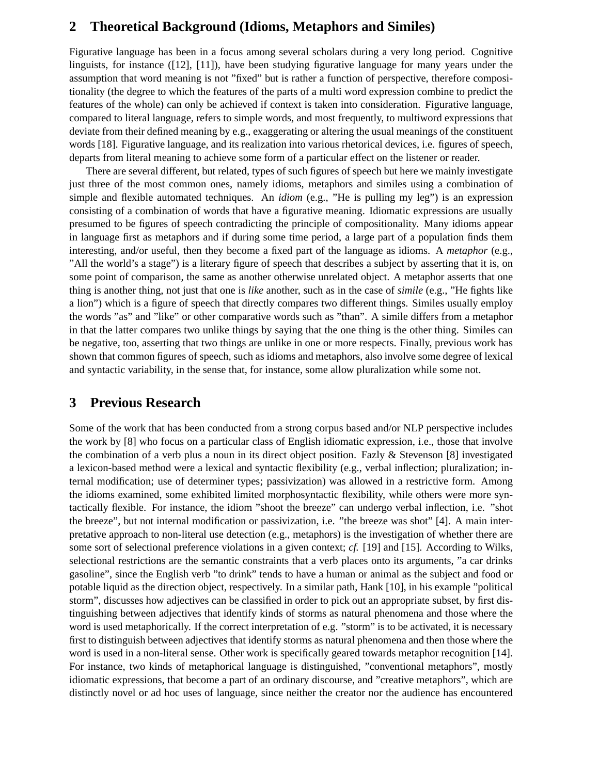#### **2 Theoretical Background (Idioms, Metaphors and Similes)**

Figurative language has been in a focus among several scholars during a very long period. Cognitive linguists, for instance ([12], [11]), have been studying figurative language for many years under the assumption that word meaning is not "fixed" but is rather a function of perspective, therefore compositionality (the degree to which the features of the parts of a multi word expression combine to predict the features of the whole) can only be achieved if context is taken into consideration. Figurative language, compared to literal language, refers to simple words, and most frequently, to multiword expressions that deviate from their defined meaning by e.g., exaggerating or altering the usual meanings of the constituent words [18]. Figurative language, and its realization into various rhetorical devices, i.e. figures of speech, departs from literal meaning to achieve some form of a particular effect on the listener or reader.

There are several different, but related, types of such figures of speech but here we mainly investigate just three of the most common ones, namely idioms, metaphors and similes using a combination of simple and flexible automated techniques. An *idiom* (e.g., "He is pulling my leg") is an expression consisting of a combination of words that have a figurative meaning. Idiomatic expressions are usually presumed to be figures of speech contradicting the principle of compositionality. Many idioms appear in language first as metaphors and if during some time period, a large part of a population finds them interesting, and/or useful, then they become a fixed part of the language as idioms. A *metaphor* (e.g., "All the world's a stage") is a literary figure of speech that describes a subject by asserting that it is, on some point of comparison, the same as another otherwise unrelated object. A metaphor asserts that one thing is another thing, not just that one is *like* another, such as in the case of *simile* (e.g., "He fights like a lion") which is a figure of speech that directly compares two different things. Similes usually employ the words "as" and "like" or other comparative words such as "than". A simile differs from a metaphor in that the latter compares two unlike things by saying that the one thing is the other thing. Similes can be negative, too, asserting that two things are unlike in one or more respects. Finally, previous work has shown that common figures of speech, such as idioms and metaphors, also involve some degree of lexical and syntactic variability, in the sense that, for instance, some allow pluralization while some not.

## **3 Previous Research**

Some of the work that has been conducted from a strong corpus based and/or NLP perspective includes the work by [8] who focus on a particular class of English idiomatic expression, i.e., those that involve the combination of a verb plus a noun in its direct object position. Fazly  $\&$  Stevenson [8] investigated a lexicon-based method were a lexical and syntactic flexibility (e.g., verbal inflection; pluralization; internal modification; use of determiner types; passivization) was allowed in a restrictive form. Among the idioms examined, some exhibited limited morphosyntactic flexibility, while others were more syntactically flexible. For instance, the idiom "shoot the breeze" can undergo verbal inflection, i.e. "shot the breeze", but not internal modification or passivization, i.e. "the breeze was shot" [4]. A main interpretative approach to non-literal use detection (e.g., metaphors) is the investigation of whether there are some sort of selectional preference violations in a given context; *cf.* [19] and [15]. According to Wilks, selectional restrictions are the semantic constraints that a verb places onto its arguments, "a car drinks gasoline", since the English verb "to drink" tends to have a human or animal as the subject and food or potable liquid as the direction object, respectively. In a similar path, Hank [10], in his example "political storm", discusses how adjectives can be classified in order to pick out an appropriate subset, by first distinguishing between adjectives that identify kinds of storms as natural phenomena and those where the word is used metaphorically. If the correct interpretation of e.g. "storm" is to be activated, it is necessary first to distinguish between adjectives that identify storms as natural phenomena and then those where the word is used in a non-literal sense. Other work is specifically geared towards metaphor recognition [14]. For instance, two kinds of metaphorical language is distinguished, "conventional metaphors", mostly idiomatic expressions, that become a part of an ordinary discourse, and "creative metaphors", which are distinctly novel or ad hoc uses of language, since neither the creator nor the audience has encountered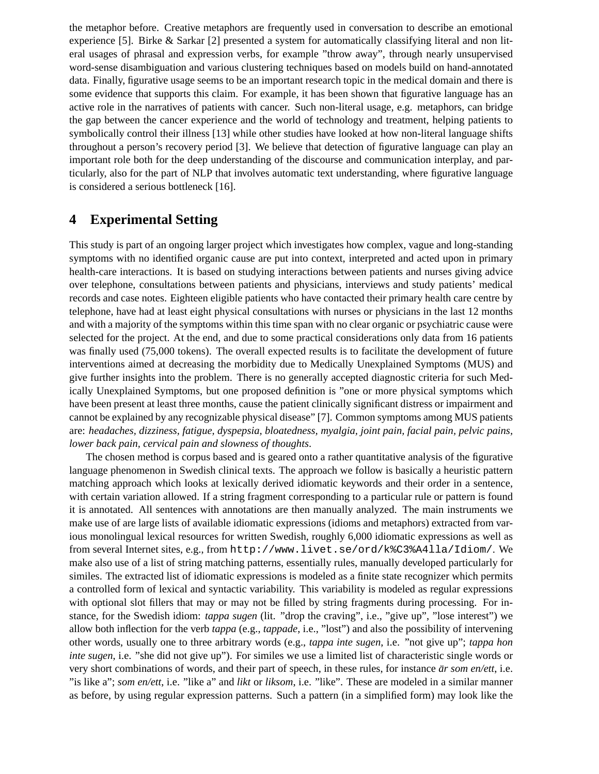the metaphor before. Creative metaphors are frequently used in conversation to describe an emotional experience [5]. Birke & Sarkar [2] presented a system for automatically classifying literal and non literal usages of phrasal and expression verbs, for example "throw away", through nearly unsupervised word-sense disambiguation and various clustering techniques based on models build on hand-annotated data. Finally, figurative usage seems to be an important research topic in the medical domain and there is some evidence that supports this claim. For example, it has been shown that figurative language has an active role in the narratives of patients with cancer. Such non-literal usage, e.g. metaphors, can bridge the gap between the cancer experience and the world of technology and treatment, helping patients to symbolically control their illness [13] while other studies have looked at how non-literal language shifts throughout a person's recovery period [3]. We believe that detection of figurative language can play an important role both for the deep understanding of the discourse and communication interplay, and particularly, also for the part of NLP that involves automatic text understanding, where figurative language is considered a serious bottleneck [16].

## **4 Experimental Setting**

This study is part of an ongoing larger project which investigates how complex, vague and long-standing symptoms with no identified organic cause are put into context, interpreted and acted upon in primary health-care interactions. It is based on studying interactions between patients and nurses giving advice over telephone, consultations between patients and physicians, interviews and study patients' medical records and case notes. Eighteen eligible patients who have contacted their primary health care centre by telephone, have had at least eight physical consultations with nurses or physicians in the last 12 months and with a majority of the symptoms within this time span with no clear organic or psychiatric cause were selected for the project. At the end, and due to some practical considerations only data from 16 patients was finally used (75,000 tokens). The overall expected results is to facilitate the development of future interventions aimed at decreasing the morbidity due to Medically Unexplained Symptoms (MUS) and give further insights into the problem. There is no generally accepted diagnostic criteria for such Medically Unexplained Symptoms, but one proposed definition is "one or more physical symptoms which have been present at least three months, cause the patient clinically significant distress or impairment and cannot be explained by any recognizable physical disease" [7]. Common symptoms among MUS patients are: *headaches, dizziness, fatigue, dyspepsia, bloatedness, myalgia, joint pain, facial pain, pelvic pains, lower back pain, cervical pain and slowness of thoughts*.

The chosen method is corpus based and is geared onto a rather quantitative analysis of the figurative language phenomenon in Swedish clinical texts. The approach we follow is basically a heuristic pattern matching approach which looks at lexically derived idiomatic keywords and their order in a sentence, with certain variation allowed. If a string fragment corresponding to a particular rule or pattern is found it is annotated. All sentences with annotations are then manually analyzed. The main instruments we make use of are large lists of available idiomatic expressions (idioms and metaphors) extracted from various monolingual lexical resources for written Swedish, roughly 6,000 idiomatic expressions as well as from several Internet sites, e.g., from http://www.livet.se/ord/k%C3%A4lla/Idiom/. We make also use of a list of string matching patterns, essentially rules, manually developed particularly for similes. The extracted list of idiomatic expressions is modeled as a finite state recognizer which permits a controlled form of lexical and syntactic variability. This variability is modeled as regular expressions with optional slot fillers that may or may not be filled by string fragments during processing. For instance, for the Swedish idiom: *tappa sugen* (lit. "drop the craving", i.e., "give up", "lose interest") we allow both inflection for the verb *tappa* (e.g., *tappade*, i.e., "lost") and also the possibility of intervening other words, usually one to three arbitrary words (e.g., *tappa inte sugen*, i.e. "not give up"; *tappa hon inte sugen*, i.e. "she did not give up"). For similes we use a limited list of characteristic single words or very short combinations of words, and their part of speech, in these rules, for instance *är som en/ett*, *i.e.* "is like a"; *som en/ett*, i.e. "like a" and *likt* or *liksom*, i.e. "like". These are modeled in a similar manner as before, by using regular expression patterns. Such a pattern (in a simplified form) may look like the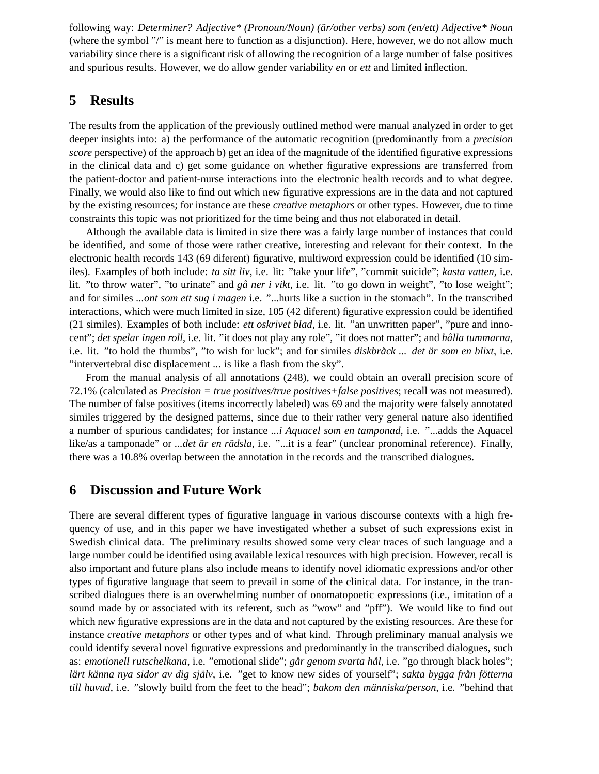following way: *Determiner? Adjective\* (Pronoun/Noun) (ar/other verbs) som (en/ett) Adjective\* Noun ¨* (where the symbol "/" is meant here to function as a disjunction). Here, however, we do not allow much variability since there is a significant risk of allowing the recognition of a large number of false positives and spurious results. However, we do allow gender variability *en* or *ett* and limited inflection.

# **5 Results**

The results from the application of the previously outlined method were manual analyzed in order to get deeper insights into: a) the performance of the automatic recognition (predominantly from a *precision score* perspective) of the approach b) get an idea of the magnitude of the identified figurative expressions in the clinical data and c) get some guidance on whether figurative expressions are transferred from the patient-doctor and patient-nurse interactions into the electronic health records and to what degree. Finally, we would also like to find out which new figurative expressions are in the data and not captured by the existing resources; for instance are these *creative metaphors* or other types. However, due to time constraints this topic was not prioritized for the time being and thus not elaborated in detail.

Although the available data is limited in size there was a fairly large number of instances that could be identified, and some of those were rather creative, interesting and relevant for their context. In the electronic health records 143 (69 diferent) figurative, multiword expression could be identified (10 similes). Examples of both include: *ta sitt liv*, i.e. lit: "take your life", "commit suicide"; *kasta vatten*, i.e. lit. "to throw water", "to urinate" and *gå ner i vikt*, *i.e.* lit. "to go down in weight", "to lose weight"; and for similes *...ont som ett sug i magen* i.e. "...hurts like a suction in the stomach". In the transcribed interactions, which were much limited in size, 105 (42 diferent) figurative expression could be identified (21 similes). Examples of both include: *ett oskrivet blad*, i.e. lit. "an unwritten paper", "pure and innocent"; *det spelar ingen roll*, i.e. lit. "it does not play any role", "it does not matter"; and *hålla tummarna*, i.e. lit. "to hold the thumbs", "to wish for luck"; and for similes *diskbråck ... det är som en blixt*, i.e. "intervertebral disc displacement ... is like a flash from the sky".

From the manual analysis of all annotations (248), we could obtain an overall precision score of 72.1% (calculated as *Precision = true positives/true positives+false positives*; recall was not measured). The number of false positives (items incorrectly labeled) was 69 and the majority were falsely annotated similes triggered by the designed patterns, since due to their rather very general nature also identified a number of spurious candidates; for instance *...i Aquacel som en tamponad*, i.e. "...adds the Aquacel like/as a tamponade" or *...det är en rädsla*, i.e. "...it is a fear" (unclear pronominal reference). Finally, there was a 10.8% overlap between the annotation in the records and the transcribed dialogues.

## **6 Discussion and Future Work**

There are several different types of figurative language in various discourse contexts with a high frequency of use, and in this paper we have investigated whether a subset of such expressions exist in Swedish clinical data. The preliminary results showed some very clear traces of such language and a large number could be identified using available lexical resources with high precision. However, recall is also important and future plans also include means to identify novel idiomatic expressions and/or other types of figurative language that seem to prevail in some of the clinical data. For instance, in the transcribed dialogues there is an overwhelming number of onomatopoetic expressions (i.e., imitation of a sound made by or associated with its referent, such as "wow" and "pff"). We would like to find out which new figurative expressions are in the data and not captured by the existing resources. Are these for instance *creative metaphors* or other types and of what kind. Through preliminary manual analysis we could identify several novel figurative expressions and predominantly in the transcribed dialogues, such as: emotionell rutschelkana, i.e. "emotional slide"; går genom svarta hål, i.e. "go through black holes"; *lärt känna nya sidor av dig själv*, i.e. "get to know new sides of yourself"; *sakta bygga från fötterna till huvud*, i.e. "slowly build from the feet to the head"; *bakom den människa/person*, i.e. "behind that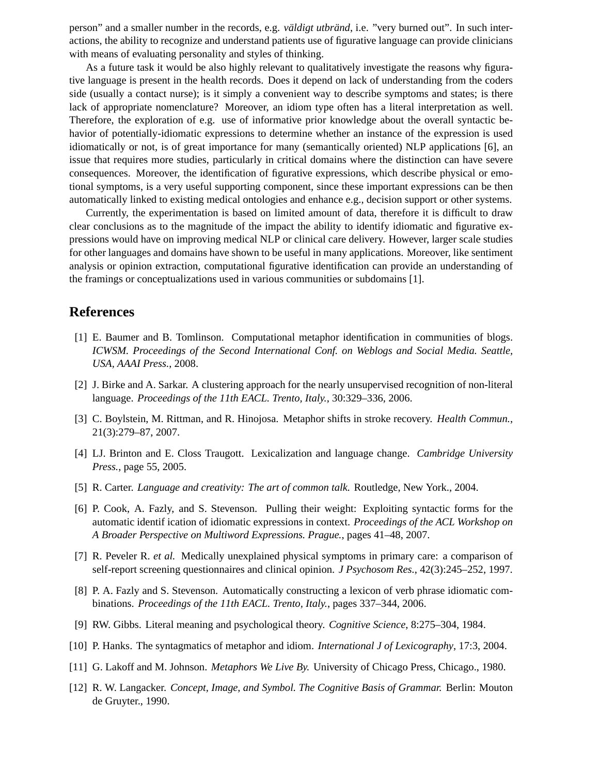person" and a smaller number in the records, e.g. *väldigt utbränd*, i.e. "very burned out". In such interactions, the ability to recognize and understand patients use of figurative language can provide clinicians with means of evaluating personality and styles of thinking.

As a future task it would be also highly relevant to qualitatively investigate the reasons why figurative language is present in the health records. Does it depend on lack of understanding from the coders side (usually a contact nurse); is it simply a convenient way to describe symptoms and states; is there lack of appropriate nomenclature? Moreover, an idiom type often has a literal interpretation as well. Therefore, the exploration of e.g. use of informative prior knowledge about the overall syntactic behavior of potentially-idiomatic expressions to determine whether an instance of the expression is used idiomatically or not, is of great importance for many (semantically oriented) NLP applications [6], an issue that requires more studies, particularly in critical domains where the distinction can have severe consequences. Moreover, the identification of figurative expressions, which describe physical or emotional symptoms, is a very useful supporting component, since these important expressions can be then automatically linked to existing medical ontologies and enhance e.g., decision support or other systems.

Currently, the experimentation is based on limited amount of data, therefore it is difficult to draw clear conclusions as to the magnitude of the impact the ability to identify idiomatic and figurative expressions would have on improving medical NLP or clinical care delivery. However, larger scale studies for other languages and domains have shown to be useful in many applications. Moreover, like sentiment analysis or opinion extraction, computational figurative identification can provide an understanding of the framings or conceptualizations used in various communities or subdomains [1].

#### **References**

- [1] E. Baumer and B. Tomlinson. Computational metaphor identification in communities of blogs. *ICWSM. Proceedings of the Second International Conf. on Weblogs and Social Media. Seattle, USA, AAAI Press.*, 2008.
- [2] J. Birke and A. Sarkar. A clustering approach for the nearly unsupervised recognition of non-literal language. *Proceedings of the 11th EACL. Trento, Italy.*, 30:329–336, 2006.
- [3] C. Boylstein, M. Rittman, and R. Hinojosa. Metaphor shifts in stroke recovery. *Health Commun.*, 21(3):279–87, 2007.
- [4] LJ. Brinton and E. Closs Traugott. Lexicalization and language change. *Cambridge University Press.*, page 55, 2005.
- [5] R. Carter. *Language and creativity: The art of common talk.* Routledge, New York., 2004.
- [6] P. Cook, A. Fazly, and S. Stevenson. Pulling their weight: Exploiting syntactic forms for the automatic identif ication of idiomatic expressions in context. *Proceedings of the ACL Workshop on A Broader Perspective on Multiword Expressions. Prague.*, pages 41–48, 2007.
- [7] R. Peveler R. *et al.* Medically unexplained physical symptoms in primary care: a comparison of self-report screening questionnaires and clinical opinion. *J Psychosom Res.*, 42(3):245–252, 1997.
- [8] P. A. Fazly and S. Stevenson. Automatically constructing a lexicon of verb phrase idiomatic combinations. *Proceedings of the 11th EACL. Trento, Italy.*, pages 337–344, 2006.
- [9] RW. Gibbs. Literal meaning and psychological theory. *Cognitive Science*, 8:275–304, 1984.
- [10] P. Hanks. The syntagmatics of metaphor and idiom. *International J of Lexicography*, 17:3, 2004.
- [11] G. Lakoff and M. Johnson. *Metaphors We Live By.* University of Chicago Press, Chicago., 1980.
- [12] R. W. Langacker. *Concept, Image, and Symbol. The Cognitive Basis of Grammar.* Berlin: Mouton de Gruyter., 1990.